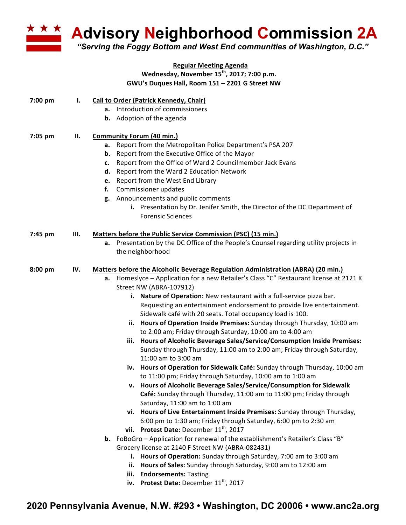**Advisory Neighborhood Commission 2A** 

*"Serving the Foggy Bottom and West End communities of Washington, D.C."*

## **Regular Meeting Agenda Wednesday, November 15th, 2017; 7:00 p.m.** GWU's Duques Hall, Room 151 - 2201 G Street NW

| 7:00 pm | ı.  | <b>Call to Order (Patrick Kennedy, Chair)</b><br>Introduction of commissioners<br>а.<br><b>b.</b> Adoption of the agenda                                                                                                                                                                                                                                                                                                                                                                                                                                                                                                                                                                                                                                                                                                                                                                                                                                                                                                                                                                                                                                                                                                                                                                                                                                                                                                                                                                                                                                                                                                                                              |
|---------|-----|-----------------------------------------------------------------------------------------------------------------------------------------------------------------------------------------------------------------------------------------------------------------------------------------------------------------------------------------------------------------------------------------------------------------------------------------------------------------------------------------------------------------------------------------------------------------------------------------------------------------------------------------------------------------------------------------------------------------------------------------------------------------------------------------------------------------------------------------------------------------------------------------------------------------------------------------------------------------------------------------------------------------------------------------------------------------------------------------------------------------------------------------------------------------------------------------------------------------------------------------------------------------------------------------------------------------------------------------------------------------------------------------------------------------------------------------------------------------------------------------------------------------------------------------------------------------------------------------------------------------------------------------------------------------------|
| 7:05 pm | П.  | <b>Community Forum (40 min.)</b><br>Report from the Metropolitan Police Department's PSA 207<br>а.<br>Report from the Executive Office of the Mayor<br>b.<br>Report from the Office of Ward 2 Councilmember Jack Evans<br>c.<br>Report from the Ward 2 Education Network<br>d.<br>Report from the West End Library<br>e.<br>Commissioner updates<br>f.<br>Announcements and public comments<br>g.<br>i. Presentation by Dr. Jenifer Smith, the Director of the DC Department of<br><b>Forensic Sciences</b>                                                                                                                                                                                                                                                                                                                                                                                                                                                                                                                                                                                                                                                                                                                                                                                                                                                                                                                                                                                                                                                                                                                                                           |
| 7:45 pm | Ш.  | Matters before the Public Service Commission (PSC) (15 min.)<br>a. Presentation by the DC Office of the People's Counsel regarding utility projects in<br>the neighborhood                                                                                                                                                                                                                                                                                                                                                                                                                                                                                                                                                                                                                                                                                                                                                                                                                                                                                                                                                                                                                                                                                                                                                                                                                                                                                                                                                                                                                                                                                            |
| 8:00 pm | IV. | Matters before the Alcoholic Beverage Regulation Administration (ABRA) (20 min.)<br>Homeslyce - Application for a new Retailer's Class "C" Restaurant license at 2121 K<br>a.<br>Street NW (ABRA-107912)<br>i. Nature of Operation: New restaurant with a full-service pizza bar.<br>Requesting an entertainment endorsement to provide live entertainment.<br>Sidewalk café with 20 seats. Total occupancy load is 100.<br>ii. Hours of Operation Inside Premises: Sunday through Thursday, 10:00 am<br>to 2:00 am; Friday through Saturday, 10:00 am to 4:00 am<br>Hours of Alcoholic Beverage Sales/Service/Consumption Inside Premises:<br>iii.<br>Sunday through Thursday, 11:00 am to 2:00 am; Friday through Saturday,<br>11:00 am to 3:00 am<br>iv. Hours of Operation for Sidewalk Café: Sunday through Thursday, 10:00 am<br>to 11:00 pm; Friday through Saturday, 10:00 am to 1:00 am<br>v. Hours of Alcoholic Beverage Sales/Service/Consumption for Sidewalk<br>Café: Sunday through Thursday, 11:00 am to 11:00 pm; Friday through<br>Saturday, 11:00 am to 1:00 am<br>vi. Hours of Live Entertainment Inside Premises: Sunday through Thursday,<br>6:00 pm to 1:30 am; Friday through Saturday, 6:00 pm to 2:30 am<br>vii. Protest Date: December 11 <sup>th</sup> , 2017<br>b. FoBoGro - Application for renewal of the establishment's Retailer's Class "B"<br>Grocery license at 2140 F Street NW (ABRA-082431)<br>Hours of Operation: Sunday through Saturday, 7:00 am to 3:00 am<br>i.<br>ii. Hours of Sales: Sunday through Saturday, 9:00 am to 12:00 am<br><b>Endorsements: Tasting</b><br>iii.<br>iv. Protest Date: December $11^{th}$ , 2017 |